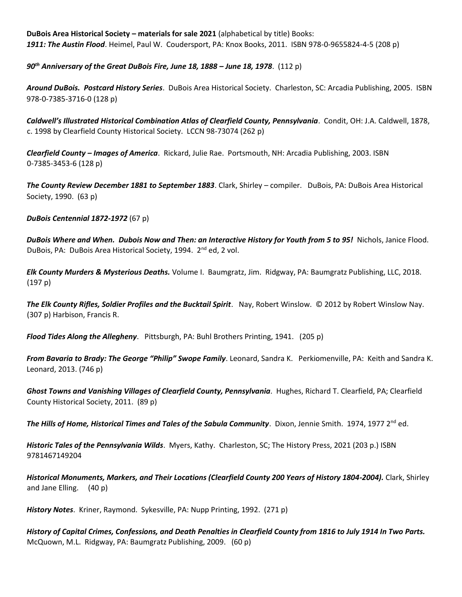**DuBois Area Historical Society – materials for sale 2021** (alphabetical by title) Books: *1911: The Austin Flood*. Heimel, Paul W. Coudersport, PA: Knox Books, 2011. ISBN 978-0-9655824-4-5 (208 p)

*90th Anniversary of the Great DuBois Fire, June 18, 1888 – June 18, 1978*. (112 p)

*Around DuBois. Postcard History Series*. DuBois Area Historical Society. Charleston, SC: Arcadia Publishing, 2005. ISBN 978-0-7385-3716-0 (128 p)

*Caldwell's Illustrated Historical Combination Atlas of Clearfield County, Pennsylvania*. Condit, OH: J.A. Caldwell, 1878, c. 1998 by Clearfield County Historical Society. LCCN 98-73074 (262 p)

*Clearfield County – Images of America*. Rickard, Julie Rae. Portsmouth, NH: Arcadia Publishing, 2003. ISBN 0-7385-3453-6 (128 p)

*The County Review December 1881 to September 1883*. Clark, Shirley – compiler. DuBois, PA: DuBois Area Historical Society, 1990. (63 p)

*DuBois Centennial 1872-1972* (67 p)

*DuBois Where and When. Dubois Now and Then: an Interactive History for Youth from 5 to 95!* Nichols, Janice Flood. DuBois, PA: DuBois Area Historical Society, 1994. 2<sup>nd</sup> ed, 2 vol.

*Elk County Murders & Mysterious Deaths.* Volume I. Baumgratz, Jim. Ridgway, PA: Baumgratz Publishing, LLC, 2018. (197 p)

*The Elk County Rifles, Soldier Profiles and the Bucktail Spirit*. Nay, Robert Winslow. © 2012 by Robert Winslow Nay. (307 p) Harbison, Francis R.

*Flood Tides Along the Allegheny*. Pittsburgh, PA: Buhl Brothers Printing, 1941. (205 p)

*From Bavaria to Brady: The George "Philip" Swope Family*. Leonard, Sandra K. Perkiomenville, PA: Keith and Sandra K. Leonard, 2013. (746 p)

*Ghost Towns and Vanishing Villages of Clearfield County, Pennsylvania*. Hughes, Richard T. Clearfield, PA; Clearfield County Historical Society, 2011. (89 p)

*The Hills of Home, Historical Times and Tales of the Sabula Community. Dixon, Jennie Smith. 1974, 1977 2<sup>nd</sup> ed.* 

*Historic Tales of the Pennsylvania Wilds*. Myers, Kathy. Charleston, SC; The History Press, 2021 (203 p.) ISBN 9781467149204

*Historical Monuments, Markers, and Their Locations (Clearfield County 200 Years of History 1804-2004).* Clark, Shirley and Jane Elling. (40 p)

*History Notes*. Kriner, Raymond. Sykesville, PA: Nupp Printing, 1992. (271 p)

*History of Capital Crimes, Confessions, and Death Penalties in Clearfield County from 1816 to July 1914 In Two Parts.* McQuown, M.L. Ridgway, PA: Baumgratz Publishing, 2009. (60 p)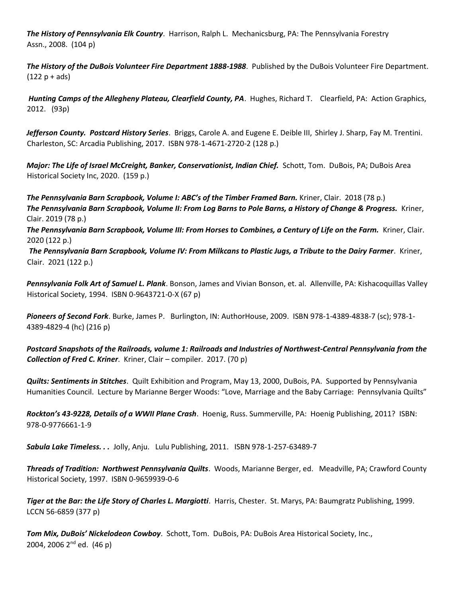*The History of Pennsylvania Elk Country*. Harrison, Ralph L. Mechanicsburg, PA: The Pennsylvania Forestry Assn., 2008. (104 p)

*The History of the DuBois Volunteer Fire Department 1888-1988*. Published by the DuBois Volunteer Fire Department.  $(122 p + ads)$ 

*Hunting Camps of the Allegheny Plateau, Clearfield County, PA*. Hughes, Richard T. Clearfield, PA: Action Graphics, 2012. (93p)

*Jefferson County. Postcard History Series*. Briggs, Carole A. and Eugene E. Deible III, Shirley J. Sharp, Fay M. Trentini. Charleston, SC: Arcadia Publishing, 2017. ISBN 978-1-4671-2720-2 (128 p.)

*Major: The Life of Israel McCreight, Banker, Conservationist, Indian Chief.* Schott, Tom. DuBois, PA; DuBois Area Historical Society Inc, 2020. (159 p.)

*The Pennsylvania Barn Scrapbook, Volume I: ABC's of the Timber Framed Barn.* Kriner, Clair. 2018 (78 p.) *The Pennsylvania Barn Scrapbook, Volume II: From Log Barns to Pole Barns, a History of Change & Progress.* Kriner, Clair. 2019 (78 p.)

*The Pennsylvania Barn Scrapbook, Volume III: From Horses to Combines, a Century of Life on the Farm.* Kriner, Clair. 2020 (122 p.)

*The Pennsylvania Barn Scrapbook, Volume IV: From Milkcans to Plastic Jugs, a Tribute to the Dairy Farmer*. Kriner, Clair. 2021 (122 p.)

*Pennsylvania Folk Art of Samuel L. Plank*. Bonson, James and Vivian Bonson, et. al. Allenville, PA: Kishacoquillas Valley Historical Society, 1994. ISBN 0-9643721-0-X (67 p)

*Pioneers of Second Fork*. Burke, James P. Burlington, IN: AuthorHouse, 2009. ISBN 978-1-4389-4838-7 (sc); 978-1- 4389-4829-4 (hc) (216 p)

*Postcard Snapshots of the Railroads, volume 1: Railroads and Industries of Northwest-Central Pennsylvania from the Collection of Fred C. Kriner*. Kriner, Clair – compiler. 2017. (70 p)

*Quilts: Sentiments in Stitches*. Quilt Exhibition and Program, May 13, 2000, DuBois, PA. Supported by Pennsylvania Humanities Council. Lecture by Marianne Berger Woods: "Love, Marriage and the Baby Carriage: Pennsylvania Quilts"

*Rockton's 43-9228, Details of a WWII Plane Crash*. Hoenig, Russ. Summerville, PA: Hoenig Publishing, 2011? ISBN: 978-0-9776661-1-9

*Sabula Lake Timeless. . .* Jolly, Anju. Lulu Publishing, 2011. ISBN 978-1-257-63489-7

*Threads of Tradition: Northwest Pennsylvania Quilts*. Woods, Marianne Berger, ed. Meadville, PA; Crawford County Historical Society, 1997. ISBN 0-9659939-0-6

*Tiger at the Bar: the Life Story of Charles L. Margiotti*. Harris, Chester. St. Marys, PA: Baumgratz Publishing, 1999. LCCN 56-6859 (377 p)

*Tom Mix, DuBois' Nickelodeon Cowboy*. Schott, Tom. DuBois, PA: DuBois Area Historical Society, Inc., 2004, 2006 2<sup>nd</sup> ed. (46 p)